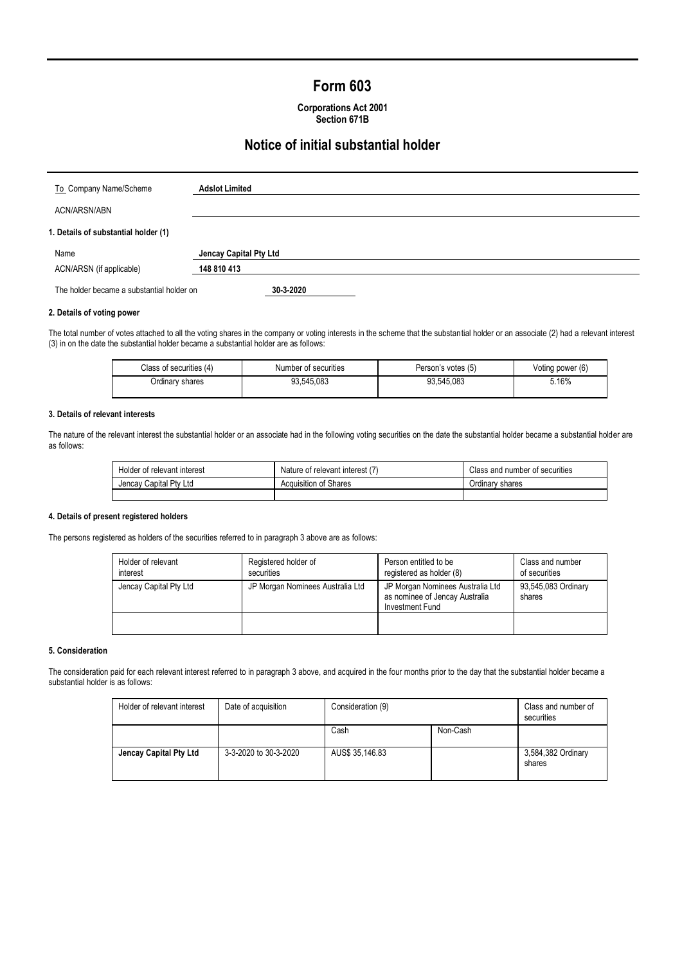# **Form 603**

| <b>Corporations Act 2001</b> |
|------------------------------|
| Section 671B                 |

# **Notice of initial substantial holder**

| To Company Name/Scheme                    | <b>Adslot Limited</b>  |
|-------------------------------------------|------------------------|
| ACN/ARSN/ABN                              |                        |
| 1. Details of substantial holder (1)      |                        |
| Name                                      | Jencay Capital Pty Ltd |
| ACN/ARSN (if applicable)                  | 148 810 413            |
| The holder became a substantial holder on | 30-3-2020              |

# **2. Details of voting power**

The total number of votes attached to all the voting shares in the company or voting interests in the scheme that the substantial holder or an associate (2) had a relevant interest (3) in on the date the substantial holder became a substantial holder are as follows:

| Class of securities (4) | Number of securities | Person's votes (5) | Voting power (6) |
|-------------------------|----------------------|--------------------|------------------|
| Ordinary shares         | 93.545.083           | 93.545.083         | 5.16%            |

#### **3. Details of relevant interests**

The nature of the relevant interest the substantial holder or an associate had in the following voting securities on the date the substantial holder became a substantial holder are as follows:

| Holder of relevant interest | Nature of relevant interest (7) | Class and number of securities |
|-----------------------------|---------------------------------|--------------------------------|
| Jencay Capital Pty Ltd      | <b>Acquisition of Shares</b>    | Ordinary shares                |
|                             |                                 |                                |

#### **4. Details of present registered holders**

The persons registered as holders of the securities referred to in paragraph 3 above are as follows:

| Holder of relevant<br>interest | Registered holder of<br>securities | Person entitled to be<br>registered as holder (8)                                     | Class and number<br>of securities |
|--------------------------------|------------------------------------|---------------------------------------------------------------------------------------|-----------------------------------|
| Jencay Capital Pty Ltd         | JP Morgan Nominees Australia Ltd   | JP Morgan Nominees Australia Ltd<br>as nominee of Jencay Australia<br>Investment Fund | 93,545,083 Ordinary<br>shares     |
|                                |                                    |                                                                                       |                                   |

### **5. Consideration**

The consideration paid for each relevant interest referred to in paragraph 3 above, and acquired in the four months prior to the day that the substantial holder became a substantial holder is as follows:

| Holder of relevant interest | Date of acquisition   | Consideration (9) |          | Class and number of<br>securities |
|-----------------------------|-----------------------|-------------------|----------|-----------------------------------|
|                             |                       | Cash              | Non-Cash |                                   |
| Jencay Capital Pty Ltd      | 3-3-2020 to 30-3-2020 | AUS\$ 35,146.83   |          | 3,584,382 Ordinary<br>shares      |